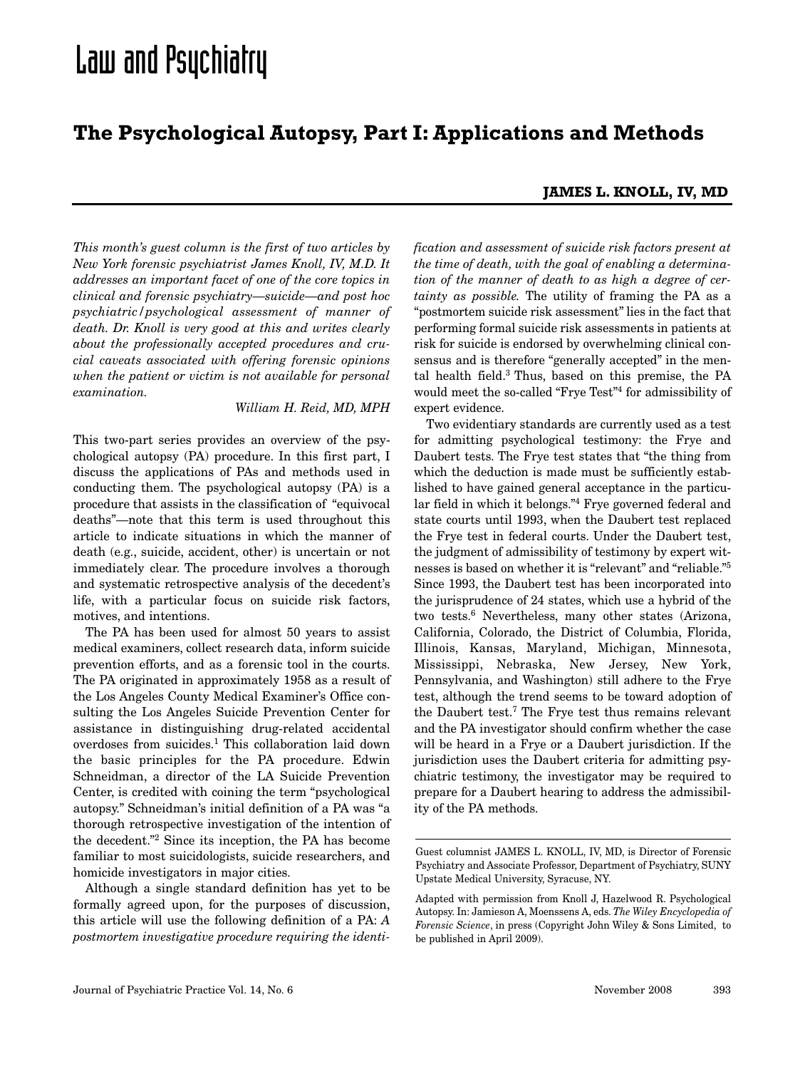### **The Psychological Autopsy, Part I: Applications and Methods**

*This month's guest column is the first of two articles by New York forensic psychiatrist James Knoll, IV, M.D. It addresses an important facet of one of the core topics in clinical and forensic psychiatry—suicide—and post hoc psychiatric/psychological assessment of manner of death. Dr. Knoll is very good at this and writes clearly about the professionally accepted procedures and crucial caveats associated with offering forensic opinions when the patient or victim is not available for personal examination.*

#### *William H. Reid, MD, MPH*

This two-part series provides an overview of the psychological autopsy (PA) procedure. In this first part, I discuss the applications of PAs and methods used in conducting them. The psychological autopsy (PA) is a procedure that assists in the classification of "equivocal deaths"—note that this term is used throughout this article to indicate situations in which the manner of death (e.g., suicide, accident, other) is uncertain or not immediately clear. The procedure involves a thorough and systematic retrospective analysis of the decedent's life, with a particular focus on suicide risk factors, motives, and intentions.

The PA has been used for almost 50 years to assist medical examiners, collect research data, inform suicide prevention efforts, and as a forensic tool in the courts. The PA originated in approximately 1958 as a result of the Los Angeles County Medical Examiner's Office consulting the Los Angeles Suicide Prevention Center for assistance in distinguishing drug-related accidental overdoses from suicides.1 This collaboration laid down the basic principles for the PA procedure. Edwin Schneidman, a director of the LA Suicide Prevention Center, is credited with coining the term "psychological autopsy." Schneidman's initial definition of a PA was "a thorough retrospective investigation of the intention of the decedent."2 Since its inception, the PA has become familiar to most suicidologists, suicide researchers, and homicide investigators in major cities.

Although a single standard definition has yet to be formally agreed upon, for the purposes of discussion, this article will use the following definition of a PA: *A postmortem investigative procedure requiring the identi-*

### **JAMES L. KNOLL, IV, MD**

*fication and assessment of suicide risk factors present at the time of death, with the goal of enabling a determination of the manner of death to as high a degree of certainty as possible.* The utility of framing the PA as a "postmortem suicide risk assessment" lies in the fact that performing formal suicide risk assessments in patients at risk for suicide is endorsed by overwhelming clinical consensus and is therefore "generally accepted" in the mental health field.3 Thus, based on this premise, the PA would meet the so-called "Frye Test"4 for admissibility of expert evidence.

Two evidentiary standards are currently used as a test for admitting psychological testimony: the Frye and Daubert tests. The Frye test states that "the thing from which the deduction is made must be sufficiently established to have gained general acceptance in the particular field in which it belongs."4 Frye governed federal and state courts until 1993, when the Daubert test replaced the Frye test in federal courts. Under the Daubert test, the judgment of admissibility of testimony by expert witnesses is based on whether it is "relevant" and "reliable."5 Since 1993, the Daubert test has been incorporated into the jurisprudence of 24 states, which use a hybrid of the two tests.6 Nevertheless, many other states (Arizona, California, Colorado, the District of Columbia, Florida, Illinois, Kansas, Maryland, Michigan, Minnesota, Mississippi, Nebraska, New Jersey, New York, Pennsylvania, and Washington) still adhere to the Frye test, although the trend seems to be toward adoption of the Daubert test.7 The Frye test thus remains relevant and the PA investigator should confirm whether the case will be heard in a Frye or a Daubert jurisdiction. If the jurisdiction uses the Daubert criteria for admitting psychiatric testimony, the investigator may be required to prepare for a Daubert hearing to address the admissibility of the PA methods.

Guest columnist JAMES L. KNOLL, IV, MD, is Director of Forensic Psychiatry and Associate Professor, Department of Psychiatry, SUNY Upstate Medical University, Syracuse, NY.

Adapted with permission from Knoll J, Hazelwood R. Psychological Autopsy. In: Jamieson A, Moenssens A, eds. *The Wiley Encyclopedia of Forensic Science*, in press (Copyright John Wiley & Sons Limited, to be published in April 2009).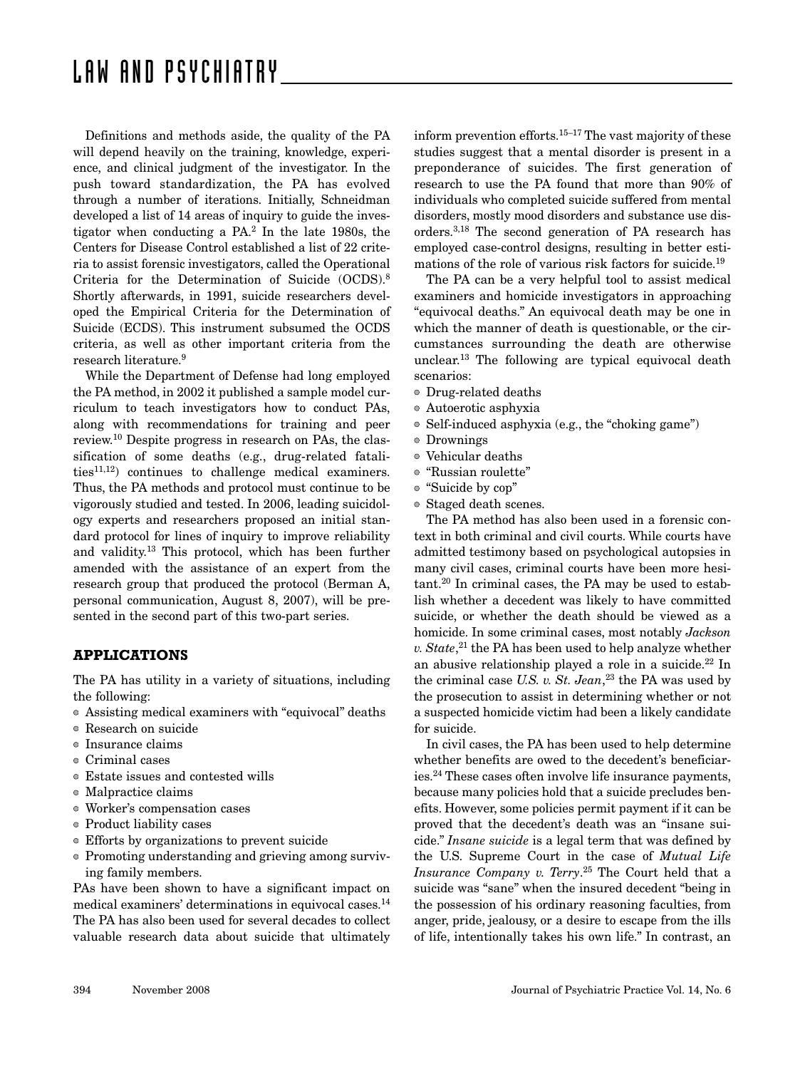## LAW AND PSYCHIATRY

Definitions and methods aside, the quality of the PA will depend heavily on the training, knowledge, experience, and clinical judgment of the investigator. In the push toward standardization, the PA has evolved through a number of iterations. Initially, Schneidman developed a list of 14 areas of inquiry to guide the investigator when conducting a PA.2 In the late 1980s, the Centers for Disease Control established a list of 22 criteria to assist forensic investigators, called the Operational Criteria for the Determination of Suicide (OCDS).8 Shortly afterwards, in 1991, suicide researchers developed the Empirical Criteria for the Determination of Suicide (ECDS). This instrument subsumed the OCDS criteria, as well as other important criteria from the research literature.9

While the Department of Defense had long employed the PA method, in 2002 it published a sample model curriculum to teach investigators how to conduct PAs, along with recommendations for training and peer review.10 Despite progress in research on PAs, the classification of some deaths (e.g., drug-related fatalities $^{11,12}$  continues to challenge medical examiners. Thus, the PA methods and protocol must continue to be vigorously studied and tested. In 2006, leading suicidology experts and researchers proposed an initial standard protocol for lines of inquiry to improve reliability and validity.13 This protocol, which has been further amended with the assistance of an expert from the research group that produced the protocol (Berman A, personal communication, August 8, 2007), will be presented in the second part of this two-part series.

### **APPLICATIONS**

The PA has utility in a variety of situations, including the following:

- Assisting medical examiners with "equivocal" deaths
- Research on suicide
- Insurance claims
- Criminal cases
- Estate issues and contested wills
- Malpractice claims
- Worker's compensation cases
- Product liability cases
- Efforts by organizations to prevent suicide
- Promoting understanding and grieving among surviving family members.

PAs have been shown to have a significant impact on medical examiners' determinations in equivocal cases.14 The PA has also been used for several decades to collect valuable research data about suicide that ultimately inform prevention efforts.15–17 The vast majority of these studies suggest that a mental disorder is present in a preponderance of suicides. The first generation of research to use the PA found that more than 90% of individuals who completed suicide suffered from mental disorders, mostly mood disorders and substance use disorders.3,18 The second generation of PA research has employed case-control designs, resulting in better estimations of the role of various risk factors for suicide.19

The PA can be a very helpful tool to assist medical examiners and homicide investigators in approaching "equivocal deaths." An equivocal death may be one in which the manner of death is questionable, or the circumstances surrounding the death are otherwise unclear.13 The following are typical equivocal death scenarios:

- Drug-related deaths
- Autoerotic asphyxia
- Self-induced asphyxia (e.g., the "choking game")
- Drownings
- Vehicular deaths
- "Russian roulette"
- "Suicide by cop"
- Staged death scenes.

The PA method has also been used in a forensic context in both criminal and civil courts. While courts have admitted testimony based on psychological autopsies in many civil cases, criminal courts have been more hesitant.20 In criminal cases, the PA may be used to establish whether a decedent was likely to have committed suicide, or whether the death should be viewed as a homicide. In some criminal cases, most notably *Jackson v. State*, <sup>21</sup> the PA has been used to help analyze whether an abusive relationship played a role in a suicide.<sup>22</sup> In the criminal case *U.S. v. St. Jean*, <sup>23</sup> the PA was used by the prosecution to assist in determining whether or not a suspected homicide victim had been a likely candidate for suicide.

In civil cases, the PA has been used to help determine whether benefits are owed to the decedent's beneficiaries.24 These cases often involve life insurance payments, because many policies hold that a suicide precludes benefits. However, some policies permit payment if it can be proved that the decedent's death was an "insane suicide." *Insane suicide* is a legal term that was defined by the U.S. Supreme Court in the case of *Mutual Life Insurance Company v. Terry*. <sup>25</sup> The Court held that a suicide was "sane" when the insured decedent "being in the possession of his ordinary reasoning faculties, from anger, pride, jealousy, or a desire to escape from the ills of life, intentionally takes his own life." In contrast, an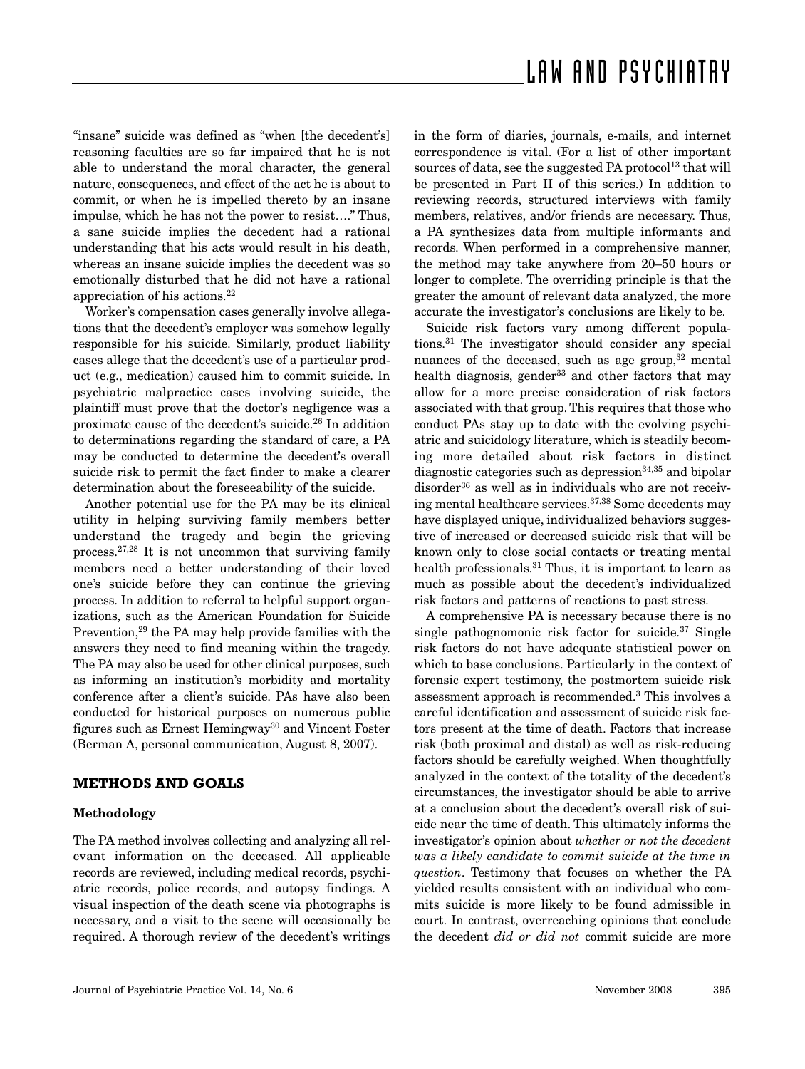"insane" suicide was defined as "when [the decedent's] reasoning faculties are so far impaired that he is not able to understand the moral character, the general nature, consequences, and effect of the act he is about to commit, or when he is impelled thereto by an insane impulse, which he has not the power to resist…." Thus, a sane suicide implies the decedent had a rational understanding that his acts would result in his death, whereas an insane suicide implies the decedent was so emotionally disturbed that he did not have a rational appreciation of his actions.22

Worker's compensation cases generally involve allegations that the decedent's employer was somehow legally responsible for his suicide. Similarly, product liability cases allege that the decedent's use of a particular product (e.g., medication) caused him to commit suicide. In psychiatric malpractice cases involving suicide, the plaintiff must prove that the doctor's negligence was a proximate cause of the decedent's suicide.26 In addition to determinations regarding the standard of care, a PA may be conducted to determine the decedent's overall suicide risk to permit the fact finder to make a clearer determination about the foreseeability of the suicide.

Another potential use for the PA may be its clinical utility in helping surviving family members better understand the tragedy and begin the grieving process.27,28 It is not uncommon that surviving family members need a better understanding of their loved one's suicide before they can continue the grieving process. In addition to referral to helpful support organizations, such as the American Foundation for Suicide Prevention,29 the PA may help provide families with the answers they need to find meaning within the tragedy. The PA may also be used for other clinical purposes, such as informing an institution's morbidity and mortality conference after a client's suicide. PAs have also been conducted for historical purposes on numerous public figures such as Ernest Hemingway<sup>30</sup> and Vincent Foster (Berman A, personal communication, August 8, 2007).

### **METHODS AND GOALS**

### **Methodology**

The PA method involves collecting and analyzing all relevant information on the deceased. All applicable records are reviewed, including medical records, psychiatric records, police records, and autopsy findings. A visual inspection of the death scene via photographs is necessary, and a visit to the scene will occasionally be required. A thorough review of the decedent's writings

in the form of diaries, journals, e-mails, and internet correspondence is vital. (For a list of other important sources of data, see the suggested PA protocol<sup>13</sup> that will be presented in Part II of this series.) In addition to reviewing records, structured interviews with family members, relatives, and/or friends are necessary. Thus, a PA synthesizes data from multiple informants and records. When performed in a comprehensive manner, the method may take anywhere from 20–50 hours or longer to complete. The overriding principle is that the greater the amount of relevant data analyzed, the more accurate the investigator's conclusions are likely to be.

Suicide risk factors vary among different populations.31 The investigator should consider any special nuances of the deceased, such as age group, $32$  mental health diagnosis, gender<sup>33</sup> and other factors that may allow for a more precise consideration of risk factors associated with that group. This requires that those who conduct PAs stay up to date with the evolving psychiatric and suicidology literature, which is steadily becoming more detailed about risk factors in distinct diagnostic categories such as depression  $34,35$  and bipolar disorder<sup>36</sup> as well as in individuals who are not receiving mental healthcare services.37,38 Some decedents may have displayed unique, individualized behaviors suggestive of increased or decreased suicide risk that will be known only to close social contacts or treating mental health professionals.31 Thus, it is important to learn as much as possible about the decedent's individualized risk factors and patterns of reactions to past stress.

A comprehensive PA is necessary because there is no single pathognomonic risk factor for suicide.<sup>37</sup> Single risk factors do not have adequate statistical power on which to base conclusions. Particularly in the context of forensic expert testimony, the postmortem suicide risk assessment approach is recommended.3 This involves a careful identification and assessment of suicide risk factors present at the time of death. Factors that increase risk (both proximal and distal) as well as risk-reducing factors should be carefully weighed. When thoughtfully analyzed in the context of the totality of the decedent's circumstances, the investigator should be able to arrive at a conclusion about the decedent's overall risk of suicide near the time of death. This ultimately informs the investigator's opinion about *whether or not the decedent was a likely candidate to commit suicide at the time in question*. Testimony that focuses on whether the PA yielded results consistent with an individual who commits suicide is more likely to be found admissible in court. In contrast, overreaching opinions that conclude the decedent *did or did not* commit suicide are more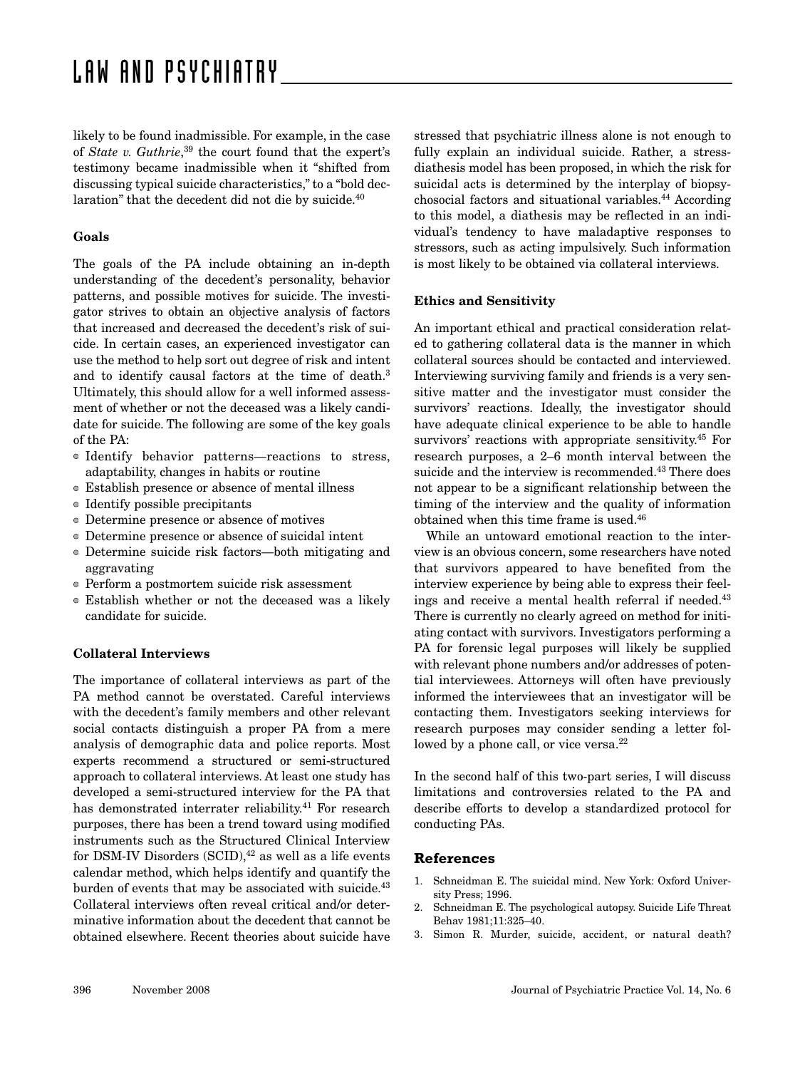# LAW AND PSYCHIATRY

likely to be found inadmissible. For example, in the case of *State v. Guthrie*, <sup>39</sup> the court found that the expert's testimony became inadmissible when it "shifted from discussing typical suicide characteristics," to a "bold declaration" that the decedent did not die by suicide.<sup>40</sup>

### **Goals**

The goals of the PA include obtaining an in-depth understanding of the decedent's personality, behavior patterns, and possible motives for suicide. The investigator strives to obtain an objective analysis of factors that increased and decreased the decedent's risk of suicide. In certain cases, an experienced investigator can use the method to help sort out degree of risk and intent and to identify causal factors at the time of death.3 Ultimately, this should allow for a well informed assessment of whether or not the deceased was a likely candidate for suicide. The following are some of the key goals of the PA:

- Identify behavior patterns—reactions to stress, adaptability, changes in habits or routine
- Establish presence or absence of mental illness
- Identify possible precipitants
- Determine presence or absence of motives
- Determine presence or absence of suicidal intent
- Determine suicide risk factors—both mitigating and aggravating
- Perform a postmortem suicide risk assessment
- Establish whether or not the deceased was a likely candidate for suicide.

### **Collateral Interviews**

The importance of collateral interviews as part of the PA method cannot be overstated. Careful interviews with the decedent's family members and other relevant social contacts distinguish a proper PA from a mere analysis of demographic data and police reports. Most experts recommend a structured or semi-structured approach to collateral interviews. At least one study has developed a semi-structured interview for the PA that has demonstrated interrater reliability.<sup>41</sup> For research purposes, there has been a trend toward using modified instruments such as the Structured Clinical Interview for DSM-IV Disorders  $(SCID),^{42}$  as well as a life events calendar method, which helps identify and quantify the burden of events that may be associated with suicide.<sup>43</sup> Collateral interviews often reveal critical and/or determinative information about the decedent that cannot be obtained elsewhere. Recent theories about suicide have stressed that psychiatric illness alone is not enough to fully explain an individual suicide. Rather, a stressdiathesis model has been proposed, in which the risk for suicidal acts is determined by the interplay of biopsychosocial factors and situational variables.44 According to this model, a diathesis may be reflected in an individual's tendency to have maladaptive responses to stressors, such as acting impulsively. Such information is most likely to be obtained via collateral interviews.

### **Ethics and Sensitivity**

An important ethical and practical consideration related to gathering collateral data is the manner in which collateral sources should be contacted and interviewed. Interviewing surviving family and friends is a very sensitive matter and the investigator must consider the survivors' reactions. Ideally, the investigator should have adequate clinical experience to be able to handle survivors' reactions with appropriate sensitivity.<sup>45</sup> For research purposes, a 2–6 month interval between the suicide and the interview is recommended.<sup>43</sup> There does not appear to be a significant relationship between the timing of the interview and the quality of information obtained when this time frame is used.46

While an untoward emotional reaction to the interview is an obvious concern, some researchers have noted that survivors appeared to have benefited from the interview experience by being able to express their feelings and receive a mental health referral if needed.<sup>43</sup> There is currently no clearly agreed on method for initiating contact with survivors. Investigators performing a PA for forensic legal purposes will likely be supplied with relevant phone numbers and/or addresses of potential interviewees. Attorneys will often have previously informed the interviewees that an investigator will be contacting them. Investigators seeking interviews for research purposes may consider sending a letter followed by a phone call, or vice versa. $22$ 

In the second half of this two-part series, I will discuss limitations and controversies related to the PA and describe efforts to develop a standardized protocol for conducting PAs.

### **References**

- 1. Schneidman E. The suicidal mind. New York: Oxford University Press; 1996.
- 2. Schneidman E. The psychological autopsy. Suicide Life Threat Behav 1981;11:325–40.
- 3. Simon R. Murder, suicide, accident, or natural death?